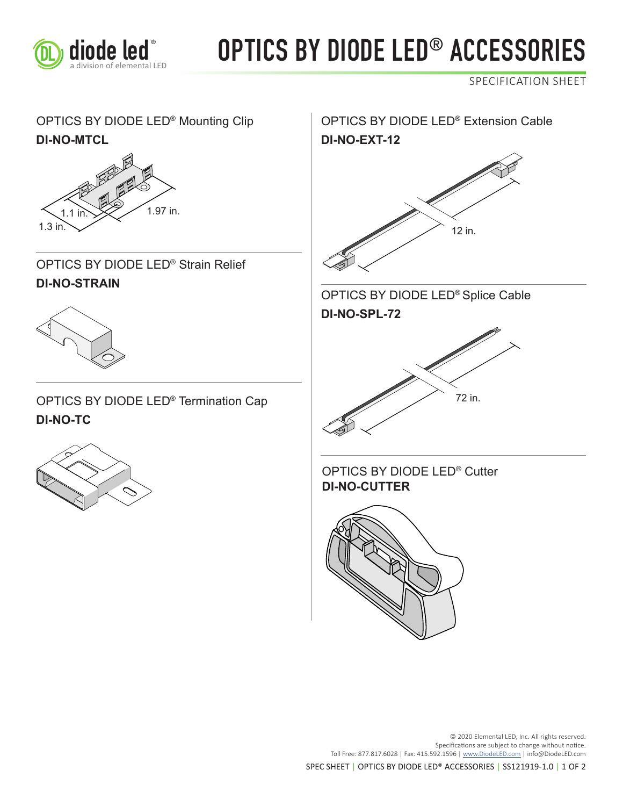

## diode led<sup>®</sup> OPTICS BY DIODE LED<sup>®</sup> ACCESSORIES

SPECIFICATION SHEET

### OPTICS BY DIODE LED<sup>®</sup> Mounting Clip **OPTICS BY DIODE LED<sup>®</sup> Extension Cable DI-NO-MTCL DI-NO-EXT-12**



OPTICS BY DIODE LED® Strain Relief **DI-NO-STRAIN**



OPTICS BY DIODE LED® Termination Cap





**DI-NO-CUTTER** OPTICS BY DIODE LED® Cutter

OPTICS BY DIODE LED® Splice Cable

12 in.









SPEC SHEET | OPTICS BY DIODE LED® ACCESSORIES | SS121919-1.0 | 1 OF 2

Toll Free: 877.817.6028 | Fax: 415.592.1596 | www.DiodeLED.com | info@DiodeLED.com